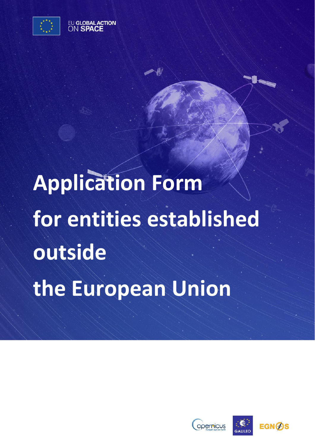

EU GLOBAL ACTION

# **Application Form for entities established outside the European Union**

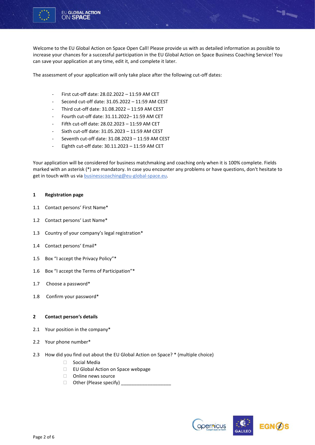

Welcome to the EU Global Action on Space Open Call! Please provide us with as detailed information as possible to increase your chances for a successful participation in the EU Global Action on Space Business Coaching Service! You can save your application at any time, edit it, and complete it later.

The assessment of your application will only take place after the following cut-off dates:

- First cut-off date: 28.02.2022 11:59 AM CET
- Second cut-off date: 31.05.2022 11:59 AM CEST
- Third cut-off date: 31.08.2022 11:59 AM CEST
- Fourth cut-off date: 31.11.2022– 11:59 AM CET
- Fifth cut-off date: 28.02.2023 11:59 AM CET
- Sixth cut-off date: 31.05.2023 11:59 AM CEST
- Seventh cut-off date: 31.08.2023 11:59 AM CEST
- Eighth cut-off date:  $30.11.2023 11:59$  AM CET

Your application will be considered for business matchmaking and coaching only when it is 100% complete. Fields marked with an asterisk (\*) are mandatory. In case you encounter any problems or have questions, don't hesitate to get in touch with us via businesscoaching@eu-global-space.eu.

#### **1 Registration page**

- 1.1 Contact persons' First Name\*
- 1.2 Contact persons' Last Name\*
- 1.3 Country of your company's legal registration\*
- 1.4 Contact persons' Email\*
- 1.5 Box "I accept the Privacy Policy"\*
- 1.6 Box "I accept the Terms of Participation"\*
- 1.7 Choose a password\*
- 1.8 Confirm your password\*

### **2 Contact person's details**

- 2.1 Your position in the company\*
- 2.2 Your phone number\*
- 2.3 How did you find out about the EU Global Action on Space? \* (multiple choice)
	- □ Social Media
	- □ EU Global Action on Space webpage
	- □ Online news source
	- $\Box$  Other (Please specify) \_



-<br>"I-a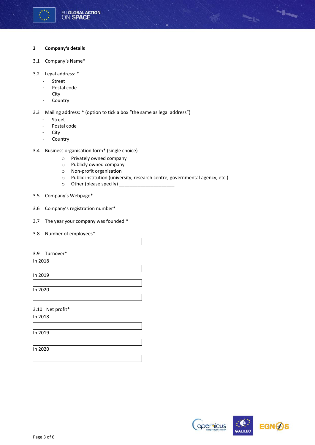

### **3 Company's details**

- 3.1 Company's Name\*
- 3.2 Legal address: \*
	- Street
	- Postal code
	- City
	- Country

3.3 Mailing address: \* (option to tick a box "the same as legal address")

- Street
- Postal code
- City
- Country
- 3.4 Business organisation form\* (single choice)
	- o Privately owned company
	- o Publicly owned company
	- o Non-profit organisation
	- o Public institution (university, research centre, governmental agency, etc.)
	- $\circ$  Other (please specify) \_
- 3.5 Company's Webpage\*
- 3.6 Company's registration number\*
- 3.7 The year your company was founded \*
- 3.8 Number of employees\*

# 3.9 Turnover\*

In 2018

In 2019

In 2020

3.10 Net profit\*

In 2018

In 2019

In 2020

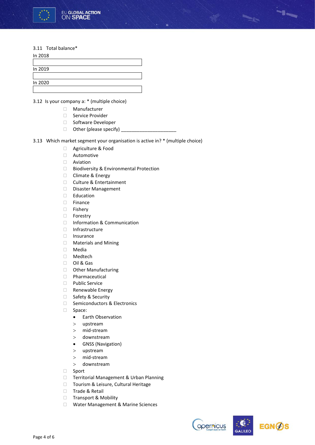

#### 3.11 Total balance\*

| In 2018 |  |  |
|---------|--|--|
|         |  |  |
| In 2019 |  |  |
|         |  |  |
| In 2020 |  |  |
|         |  |  |

3.12 Is your company a: \* (multiple choice)

- Manufacturer
	- □ Service Provider
	- □ Software Developer
	- Other (please specify) \_\_\_\_\_\_\_\_\_\_\_\_\_\_\_\_\_\_\_\_\_
- 3.13 Which market segment your organisation is active in? \* (multiple choice)
	- □ Agriculture & Food
	- Automotive
	- Aviation
	- □ Biodiversity & Environmental Protection
	- □ Climate & Energy
	- □ Culture & Entertainment
	- Disaster Management
	- □ Education
	- Finance
	- □ Fisherv
	- Forestry
	- □ Information & Communication
	- Infrastructure
	- $\Box$  Insurance
	- Materials and Mining
	- Media
	- Medtech
	- D Oil & Gas
	- **D** Other Manufacturing
	- Pharmaceutical
	- D Public Service
	- Renewable Energy
	- □ Safety & Security
	- □ Semiconductors & Electronics
	- □ Space:
		- Earth Observation
		- upstream
		- mid-stream
		- downstream
		- GNSS (Navigation)
		- upstream
		- mid-stream
		- downstream
	- □ Sport
	- □ Territorial Management & Urban Planning
	- □ Tourism & Leisure, Cultural Heritage
	- □ Trade & Retail
	- □ Transport & Mobility
	- □ Water Management & Marine Sciences





-1-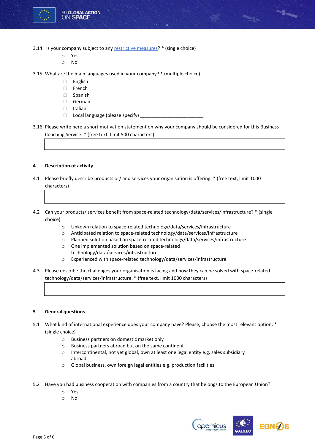

- 3.14 Is your company subject to an[y restrictive measures?](https://www.sanctionsmap.eu/#/main) \* (single choice)
	- o Yes
	- o No
- 3.15 What are the main languages used in your company? \* (multiple choice)
	- English
	- □ French
	- Spanish
	- German
	- $\Box$ Italian
	- $\Box$  Local language (please specify)  $\Box$

3.16 Please write here a short motivation statement on why your company should be considered for this Business Coaching Service. \* (free text, limit 500 characters)

# **4 Description of activity**

- 4.1 Please briefly describe products or/ and services your organisation is offering. \* (free text, limit 1000 characters)
- 4.2 Can your products/ services benefit from space-related technology/data/services/infrastructure? \* (single choice)
	- o Unkown relation to space-related technology/data/services/infrastructure
	- o Anticipated relation to space-related technology/data/services/infrastructure
	- o Planned solution based on space-related technology/data/services/infrastructure
	- o One implemented solution based on space-related technology/data/services/infrastructure
	- o Experienced with space-related technology/data/services/infrastructure
- 4.3 Please describe the challenges your organisation is facing and how they can be solved with space-related technology/data/services/infrastructure. \* (free text, limit 1000 characters)

#### **5 General questions**

- 5.1 What kind of international experience does your company have? Please, choose the most relevant option. \* (single choice)
	- o Business partners on domestic market only
	- o Business partners abroad but on the same continent
	- o Intercontinental, not yet global, own at least one legal entity e.g. sales subsidiary abroad
	- o Global business, own foreign legal entities e.g. production facilities
- 5.2 Have you had business cooperation with companies from a country that belongs to the European Union?
	- o Yes
	- o No



-1-